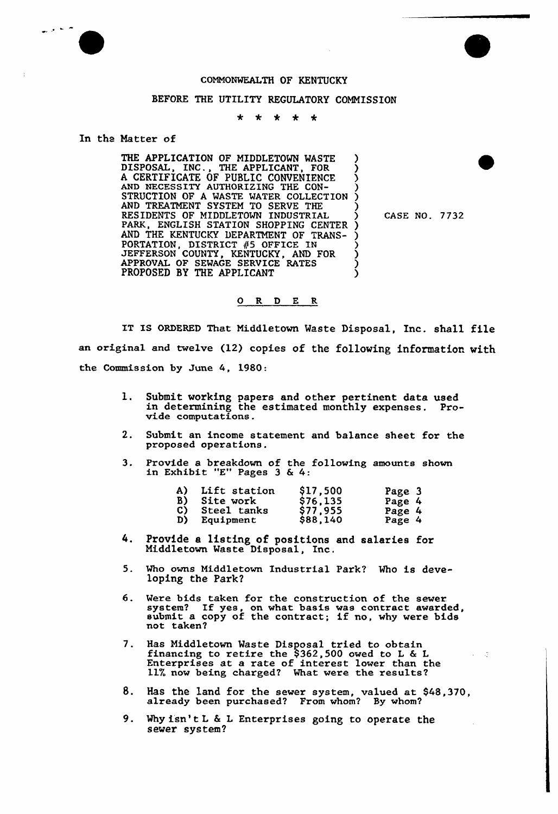## COMMONWEALTH OF KENTUCKY

## BEFORE THE UTILITY REGULATORY COMMISSION

 $\ddot{\phantom{1}}$  $\star$  $*$   $*$ 

## In the Matter of

ما به این

THE APPLICATION OF MIDDLETOWN WASTE DISPOSAL, INC., THE APPLICANT, FOR A CERTIFICATE OF PUBLIC CONVENIENC AND NECESSITY AUTHORIZING THE CON-STRUCTION OF A WASTE WATER COLLECTION AND TREATMENT SYSTEM TO SERVE THE RESIDENTS OF MIDDLETOWN INDUSTRIAL PARK, ENGLISH STATION SHOPPING CENTER AND THE KENTUCKY DEPARTMENT OF TRANS-PORTATION, DISTRICT #5 OFFICE IN JEFFERSON COUNTY, KENTUCKY, AND FOR APPROVAL OF SEWAGE SERVICE RATES PROPOSED BY THE APPLICANT ) ) ز ) <u>ز</u> ) ) ) ز<br>> ) ) )

) CASE NO. 7732

- 3

## O R D E R

IT IS ORDERED That Middletovn Waste Disposal, Inc. shall file an original and twelve (12) copies of the following information with the Commission by June 4, 1980:

- 1. Submit working papers and other pertinent data used in determining the estimated monthly expenses. Provide computations
- 2. Submit an income statement and balance sheet. for the proposed operations.
- 3. Provide a breakdown of the following amounts shown rrovide a breakdown or the<br>in Exhibit "E" Pages 3 & 4:

| A) | Lift station | \$17,500 | Page 3 |
|----|--------------|----------|--------|
| B) | Site work    | \$76,135 | Page 4 |
| C) | Steel tanks  | \$77,955 | Page 4 |
| D) | Equipment    | \$88,140 | Page 4 |

- 4. Provide e listing of positions and salaries for Middletown Waste Disposal, Inc.
- 5. Who ovns Middletown Industrial Park? Who is developing the Park?
- 6. Were bids taken for the construction of the sever were blas taken for the construction of the sewer.<br>system? If yes, on what basis was contract awarded system: If yes, on what basis was contract awarded<br>submit a copy of the contract; if no, why were bids not taken?
- 7. Has Middletown Waste Disposal tried to obtain financing to retire the \$362,500 owed to <sup>L</sup> 6 <sup>L</sup> Enterprises at a rate of interest lower than the encerprised at a race of filerede fower than
- 8. Has the land for the sewer system, valued at \$48,370, a1ready been purchased? From whom? Sy whom?
- 9. Why isn't L & L Enterprises going to operate the sewer system?